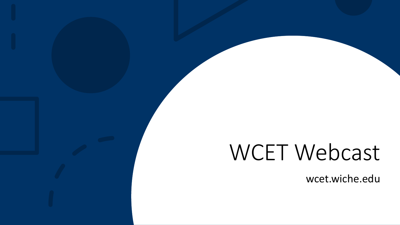# WCET Webcast

wcet.wiche.edu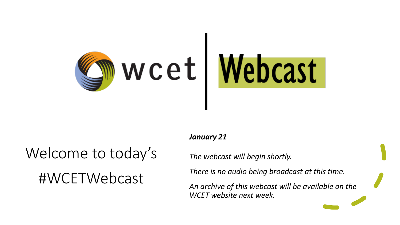

# Welcome to today's #WCETWebcast

### *January 21*

*The webcast will begin shortly.*

*There is no audio being broadcast at this time.*

*An archive of this webcast will be available on the WCET website next week.*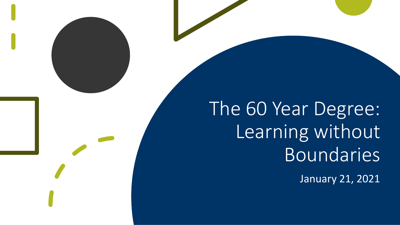The 60 Year Degree: Learning without Boundaries

January 21, 2021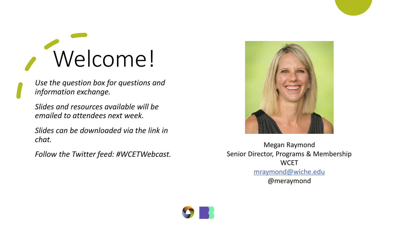# Welcome!

*Use the question box for questions and information exchange.*

*Slides and resources available will be emailed to attendees next week.*

*Slides can be downloaded via the link in chat.*

*Follow the Twitter feed: #WCETWebcast.* 



Megan Raymond Senior Director, Programs & Membership **WCET** [mraymond@wiche.edu](mailto:mraymond@wiche.edu) @meraymond

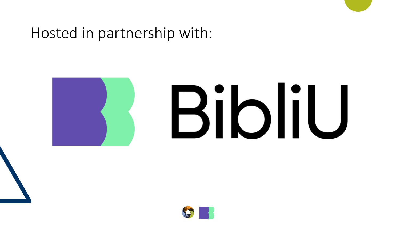# Hosted in partnership with:



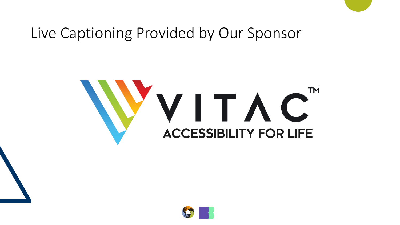# Live Captioning Provided by Our Sponsor

# VVITAC<sup>T</sup><br>ACCESSIBILITY FOR LIFE TΜ

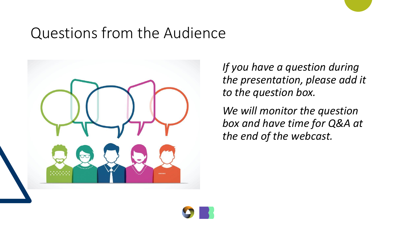# Questions from the Audience



*If you have a question during the presentation, please add it to the question box.* 

*We will monitor the question box and have time for Q&A at the end of the webcast.*

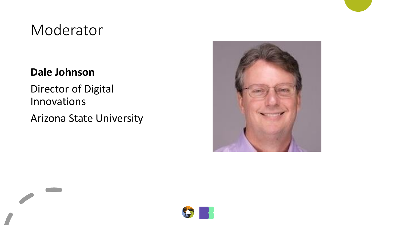# Moderator

### **Dale Johnson**

Director of Digital Innovations

Arizona State University



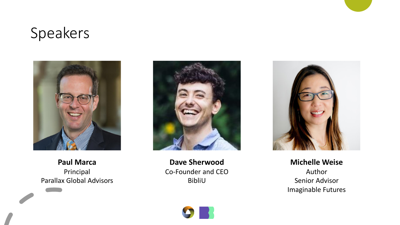# Speakers



**Paul Marca** Principal Parallax Global Advisors



**Dave Sherwood** Co-Founder and CEO BibliU



**Michelle Weise** Author Senior Advisor Imaginable Futures

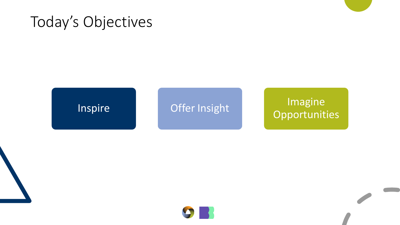# Today's Objectives

### Inspire Offer Insight Imagine **Opportunities**

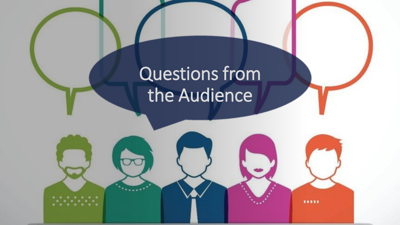# Questions from the Audience

11111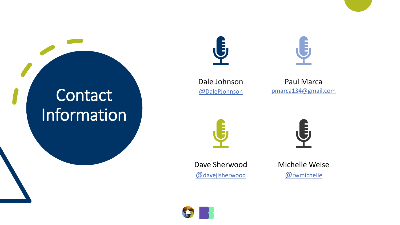# **Contact** Information





Dale Johnson @[DalePJohnson](https://twitter.com/dalepjohnson)

Paul Marca [pmarca134@gmail.com](mailto:pmarca134@gmail.com)





Dave Sherwood @[davejlsherwood](https://twitter.com/davejlsherwood)



Michelle Weise @[rwmichelle](https://twitter.com/rwmichelle)

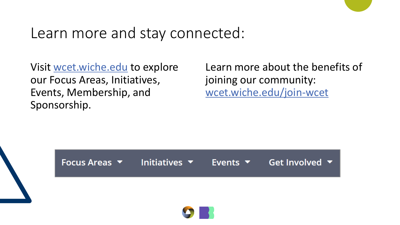### Learn more and stay connected:

Visit [wcet.wiche.edu](https://wcet.wiche.edu/) to explore our Focus Areas, Initiatives, Events, Membership, and Sponsorship.

Learn more about the benefits of joining our community: [wcet.wiche.edu/join-wcet](https://wcet.wiche.edu/join-wcet)



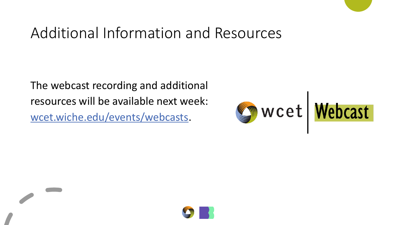# Additional Information and Resources

The webcast recording and additional resources will be available next week: [wcet.wiche.edu/events/webcasts](https://wcet.wiche.edu/events/webcasts).



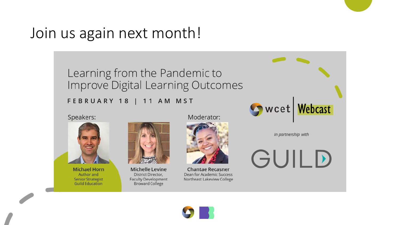# Join us again next month!

### Learning from the Pandemic to Improve Digital Learning Outcomes

### FEBRUARY 18 | 11 AM MST

Speakers:



**Michael Horn** Author and **Senior Strategist Guild Education** 



**Michelle Levine** District Director, **Faculty Development Broward College** 



**Chantae Recasner** Dean for Academic Success Northeast Lakeview College



in partnership with

GUILD

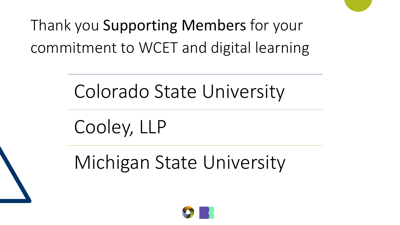

# Colorado State University

Cooley, LLP

Michigan State University

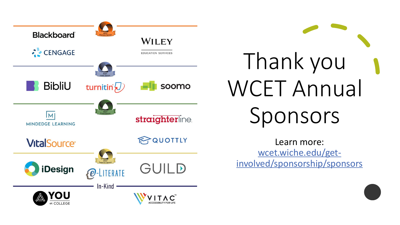

Thank you WCET Annual Sponsors

Learn more: wcet.wiche.edu/get[involved/sponsorship/sponsors](https://wcet.wiche.edu/get-involved/sponsorship/sponsors)